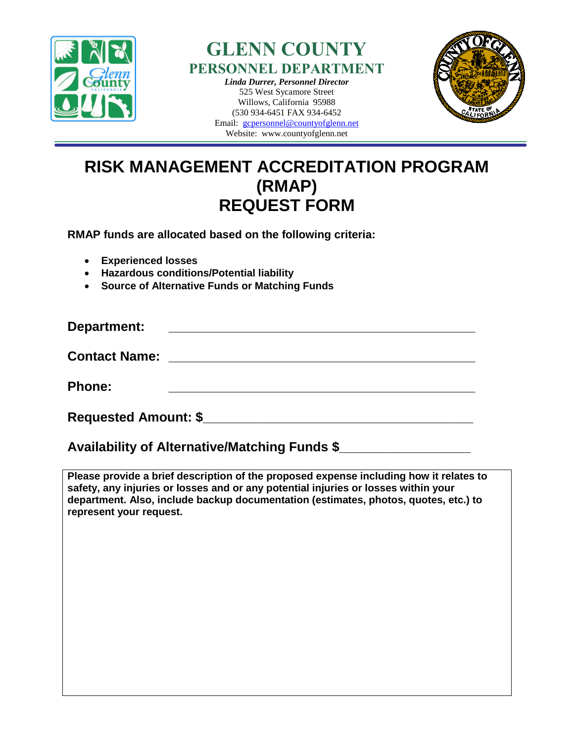



525 West Sycamore Street Willows, California 95988 (530 934-6451 FAX 934-6452 Email: [gcpersonnel@countyofglenn.net](mailto:gcpersonnel@countyofglenn.net)

Website: www.countyofglenn.net



## **RISK MANAGEMENT ACCREDITATION PROGRAM (RMAP) REQUEST FORM**

**RMAP funds are allocated based on the following criteria:** 

- **Experienced losses**
- **Hazardous conditions/Potential liability**
- **Source of Alternative Funds or Matching Funds**

**Department: with a set of the set of the set of the set of the set of the set of the set of the set of the set of the set of the set of the set of the set of the set of the set of the set of the set of the set of the se Contact Name: \_\_\_\_\_\_\_\_\_\_\_\_\_\_\_\_\_\_\_\_\_\_\_\_\_\_\_\_\_\_\_\_\_\_\_\_\_\_\_\_\_\_ Phone: \_\_\_\_\_\_\_\_\_\_\_\_\_\_\_\_\_\_\_\_\_\_\_\_\_\_\_\_\_\_\_\_\_\_\_\_\_\_\_\_\_\_**

**Requested Amount: \$\_\_\_\_\_\_\_\_\_\_\_\_\_\_\_\_\_\_\_\_\_\_\_\_\_\_\_\_\_\_\_\_\_\_\_\_\_**

## **Availability of Alternative/Matching Funds \$\_\_\_\_\_\_\_\_\_\_\_\_\_\_\_\_\_\_**

**Please provide a brief description of the proposed expense including how it relates to safety, any injuries or losses and or any potential injuries or losses within your department. Also, include backup documentation (estimates, photos, quotes, etc.) to represent your request.**